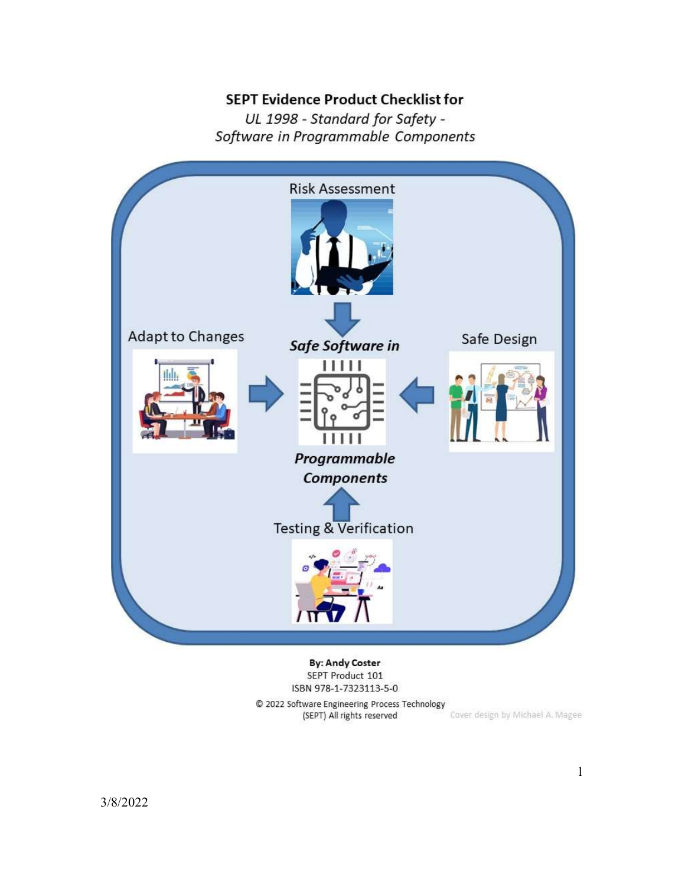#### **SEPT Evidence Product Checklist for**

UL 1998 - Standard for Safety -Software in Programmable Components



**By: Andy Coster** SEPT Product 101 ISBN 978-1-7323113-5-0

© 2022 Software Engineering Process Technology Cover design by Michael A. Magee (SEPT) All rights reserved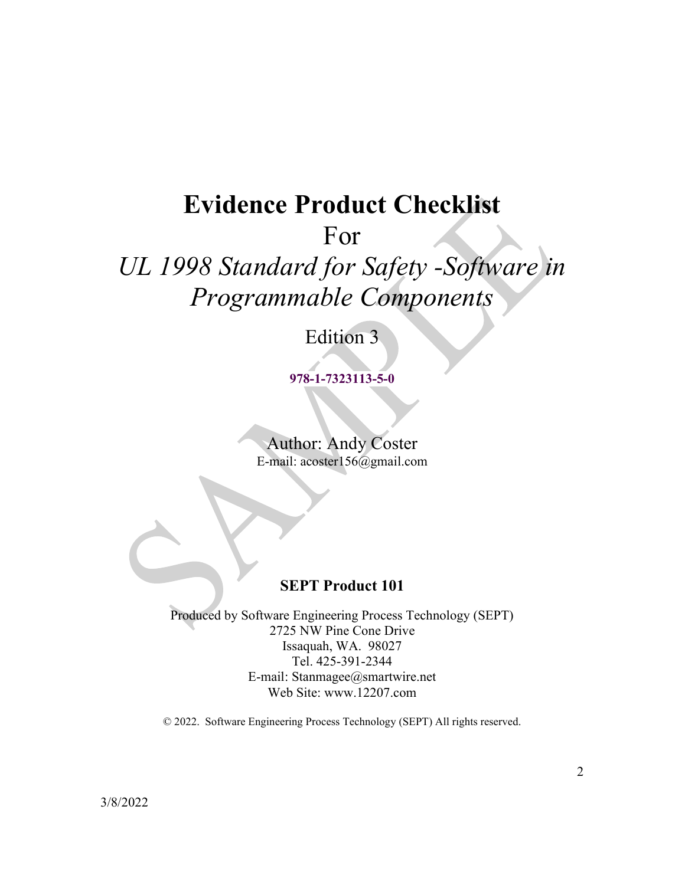# Evidence Product Checklist

For

# UL 1998 Standard for Safety -Software in Programmable Components

# Edition 3

978-1-7323113-5-0

Author: Andy Coster E-mail: acoster156@gmail.com

## SEPT Product 101

Produced by Software Engineering Process Technology (SEPT) 2725 NW Pine Cone Drive Issaquah, WA. 98027 Tel. 425-391-2344 E-mail: Stanmagee@smartwire.net Web Site: www.12207.com

© 2022. Software Engineering Process Technology (SEPT) All rights reserved.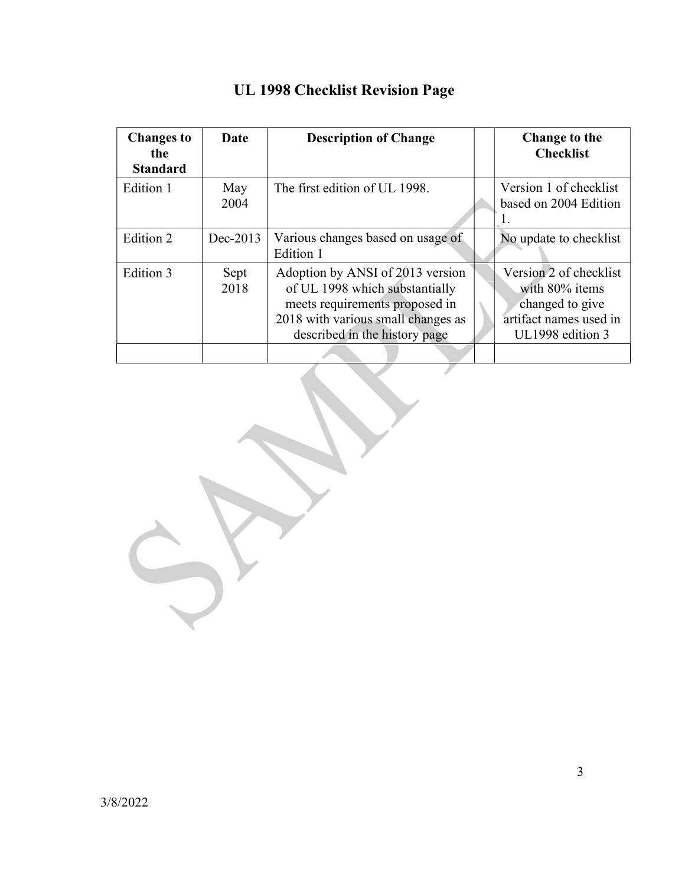| <b>Changes to</b><br>the<br><b>Standard</b> | Date         | <b>Description of Change</b>                                                                                                                                                | Change to the<br><b>Checklist</b>                                                                         |
|---------------------------------------------|--------------|-----------------------------------------------------------------------------------------------------------------------------------------------------------------------------|-----------------------------------------------------------------------------------------------------------|
| Edition 1                                   | May<br>2004  | The first edition of UL 1998.                                                                                                                                               | Version 1 of checklist<br>based on 2004 Edition<br>Ι.                                                     |
| Edition 2                                   | Dec-2013     | Various changes based on usage of<br>Edition 1                                                                                                                              | No update to checklist                                                                                    |
| Edition 3                                   | Sept<br>2018 | Adoption by ANSI of 2013 version<br>of UL 1998 which substantially<br>meets requirements proposed in<br>2018 with various small changes as<br>described in the history page | Version 2 of checklist<br>with 80% items<br>changed to give<br>artifact names used in<br>UL1998 edition 3 |
|                                             |              |                                                                                                                                                                             |                                                                                                           |

# UL 1998 Checklist Revision Page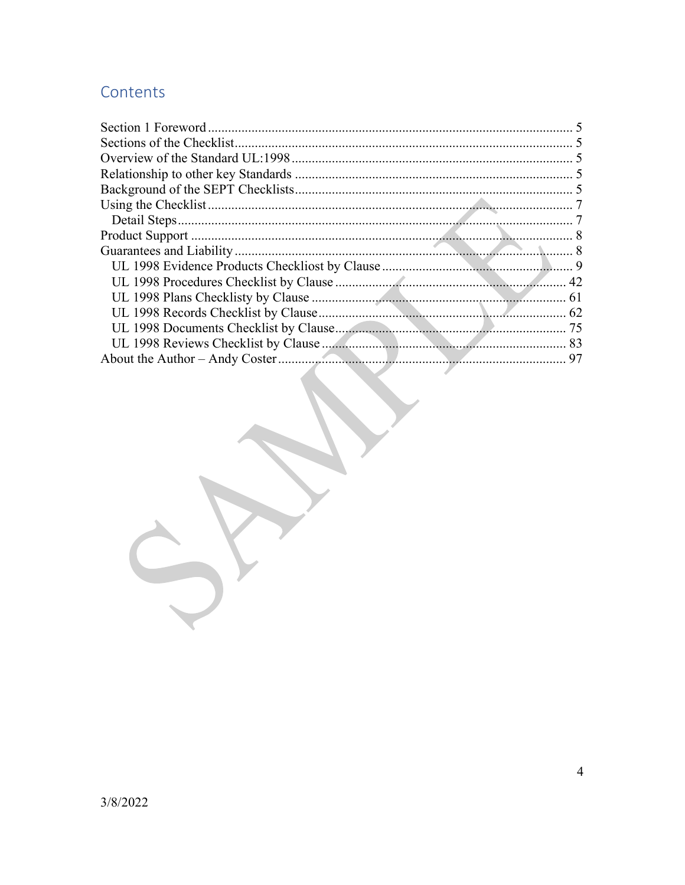# Contents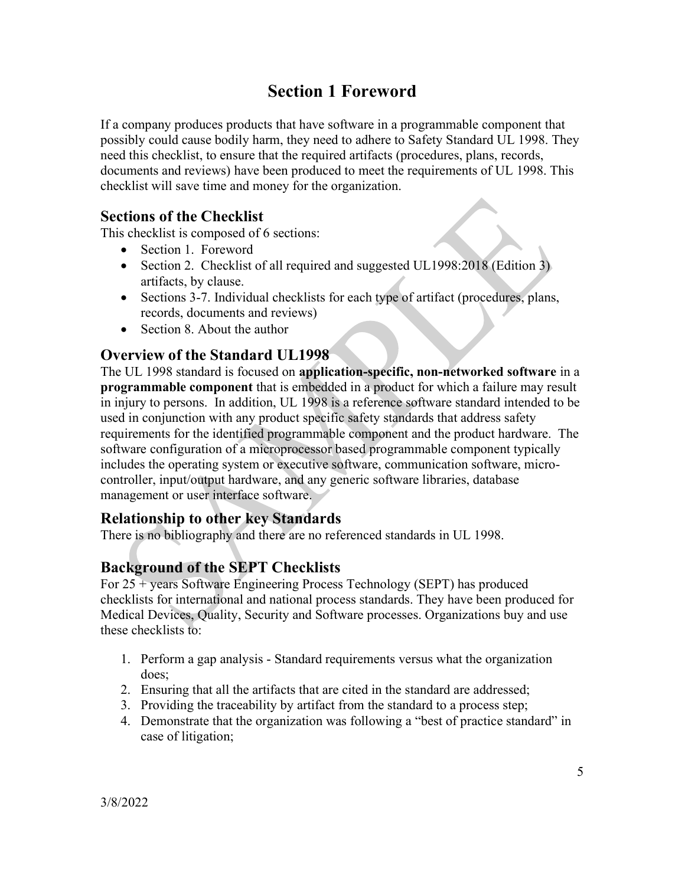# Section 1 Foreword

If a company produces products that have software in a programmable component that possibly could cause bodily harm, they need to adhere to Safety Standard UL 1998. They need this checklist, to ensure that the required artifacts (procedures, plans, records, documents and reviews) have been produced to meet the requirements of UL 1998. This checklist will save time and money for the organization.

## Sections of the Checklist

This checklist is composed of 6 sections:

- Section 1. Foreword
- Section 2. Checklist of all required and suggested UL1998:2018 (Edition 3) artifacts, by clause.
- Sections 3-7. Individual checklists for each type of artifact (procedures, plans, records, documents and reviews)
- Section 8. About the author

## Overview of the Standard UL1998

The UL 1998 standard is focused on application-specific, non-networked software in a programmable component that is embedded in a product for which a failure may result in injury to persons. In addition, UL 1998 is a reference software standard intended to be used in conjunction with any product specific safety standards that address safety requirements for the identified programmable component and the product hardware. The software configuration of a microprocessor based programmable component typically includes the operating system or executive software, communication software, microcontroller, input/output hardware, and any generic software libraries, database management or user interface software.

### Relationship to other key Standards

There is no bibliography and there are no referenced standards in UL 1998.

## Background of the SEPT Checklists

For 25 + years Software Engineering Process Technology (SEPT) has produced checklists for international and national process standards. They have been produced for Medical Devices, Quality, Security and Software processes. Organizations buy and use these checklists to:

- 1. Perform a gap analysis Standard requirements versus what the organization does;
- 2. Ensuring that all the artifacts that are cited in the standard are addressed;
- 3. Providing the traceability by artifact from the standard to a process step;
- 4. Demonstrate that the organization was following a "best of practice standard" in case of litigation;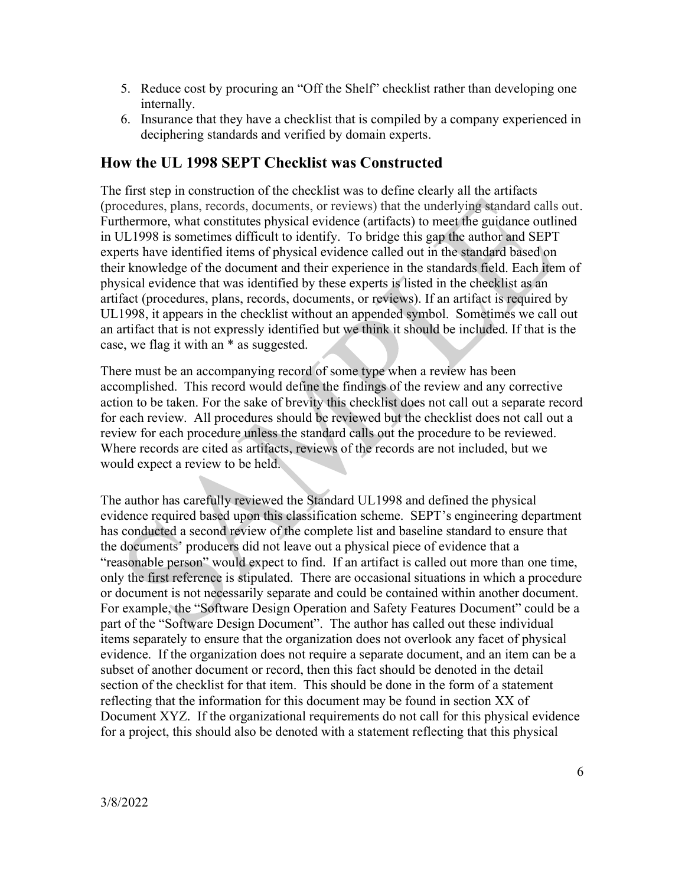- 5. Reduce cost by procuring an "Off the Shelf" checklist rather than developing one internally.
- 6. Insurance that they have a checklist that is compiled by a company experienced in deciphering standards and verified by domain experts.

#### How the UL 1998 SEPT Checklist was Constructed

The first step in construction of the checklist was to define clearly all the artifacts (procedures, plans, records, documents, or reviews) that the underlying standard calls out. Furthermore, what constitutes physical evidence (artifacts) to meet the guidance outlined in UL1998 is sometimes difficult to identify. To bridge this gap the author and SEPT experts have identified items of physical evidence called out in the standard based on their knowledge of the document and their experience in the standards field. Each item of physical evidence that was identified by these experts is listed in the checklist as an artifact (procedures, plans, records, documents, or reviews). If an artifact is required by UL1998, it appears in the checklist without an appended symbol. Sometimes we call out an artifact that is not expressly identified but we think it should be included. If that is the case, we flag it with an \* as suggested.

There must be an accompanying record of some type when a review has been accomplished. This record would define the findings of the review and any corrective action to be taken. For the sake of brevity this checklist does not call out a separate record for each review. All procedures should be reviewed but the checklist does not call out a review for each procedure unless the standard calls out the procedure to be reviewed. Where records are cited as artifacts, reviews of the records are not included, but we would expect a review to be held.

The author has carefully reviewed the Standard UL1998 and defined the physical evidence required based upon this classification scheme. SEPT's engineering department has conducted a second review of the complete list and baseline standard to ensure that the documents' producers did not leave out a physical piece of evidence that a "reasonable person" would expect to find. If an artifact is called out more than one time, only the first reference is stipulated. There are occasional situations in which a procedure or document is not necessarily separate and could be contained within another document. For example, the "Software Design Operation and Safety Features Document" could be a part of the "Software Design Document". The author has called out these individual items separately to ensure that the organization does not overlook any facet of physical evidence. If the organization does not require a separate document, and an item can be a subset of another document or record, then this fact should be denoted in the detail section of the checklist for that item. This should be done in the form of a statement reflecting that the information for this document may be found in section XX of Document XYZ. If the organizational requirements do not call for this physical evidence for a project, this should also be denoted with a statement reflecting that this physical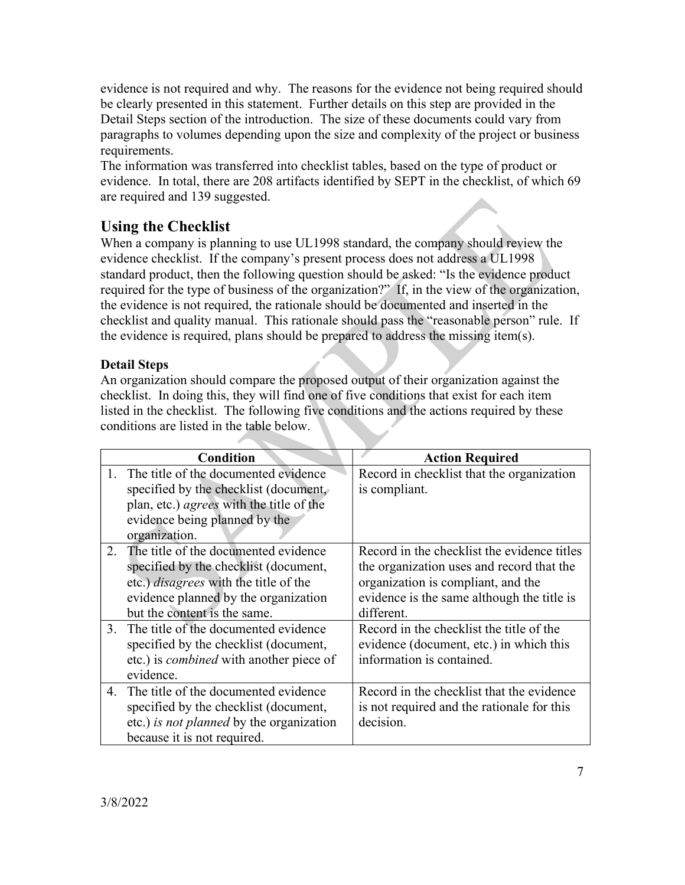evidence is not required and why. The reasons for the evidence not being required should be clearly presented in this statement. Further details on this step are provided in the Detail Steps section of the introduction. The size of these documents could vary from paragraphs to volumes depending upon the size and complexity of the project or business requirements.

The information was transferred into checklist tables, based on the type of product or evidence. In total, there are 208 artifacts identified by SEPT in the checklist, of which 69 are required and 139 suggested.

## Using the Checklist

When a company is planning to use UL1998 standard, the company should review the evidence checklist. If the company's present process does not address a UL1998 standard product, then the following question should be asked: "Is the evidence product required for the type of business of the organization?" If, in the view of the organization, the evidence is not required, the rationale should be documented and inserted in the checklist and quality manual. This rationale should pass the "reasonable person" rule. If the evidence is required, plans should be prepared to address the missing item(s).

#### Detail Steps

An organization should compare the proposed output of their organization against the checklist. In doing this, they will find one of five conditions that exist for each item listed in the checklist. The following five conditions and the actions required by these conditions are listed in the table below.

| <b>Condition</b>                                                                                                                                                                                         | <b>Action Required</b>                                                                                                                                                                     |
|----------------------------------------------------------------------------------------------------------------------------------------------------------------------------------------------------------|--------------------------------------------------------------------------------------------------------------------------------------------------------------------------------------------|
| The title of the documented evidence<br>specified by the checklist (document,                                                                                                                            | Record in checklist that the organization<br>is compliant.                                                                                                                                 |
| plan, etc.) <i>agrees</i> with the title of the                                                                                                                                                          |                                                                                                                                                                                            |
| evidence being planned by the<br>organization.                                                                                                                                                           |                                                                                                                                                                                            |
| 2. The title of the documented evidence<br>specified by the checklist (document,<br>etc.) <i>disagrees</i> with the title of the<br>evidence planned by the organization<br>but the content is the same. | Record in the checklist the evidence titles<br>the organization uses and record that the<br>organization is compliant, and the<br>evidence is the same although the title is<br>different. |
| 3. The title of the documented evidence<br>specified by the checklist (document,                                                                                                                         | Record in the checklist the title of the<br>evidence (document, etc.) in which this                                                                                                        |
| etc.) is <i>combined</i> with another piece of<br>evidence.                                                                                                                                              | information is contained.                                                                                                                                                                  |
| 4. The title of the documented evidence                                                                                                                                                                  | Record in the checklist that the evidence                                                                                                                                                  |
| specified by the checklist (document,                                                                                                                                                                    | is not required and the rationale for this                                                                                                                                                 |
| etc.) is not planned by the organization                                                                                                                                                                 | decision.                                                                                                                                                                                  |
| because it is not required.                                                                                                                                                                              |                                                                                                                                                                                            |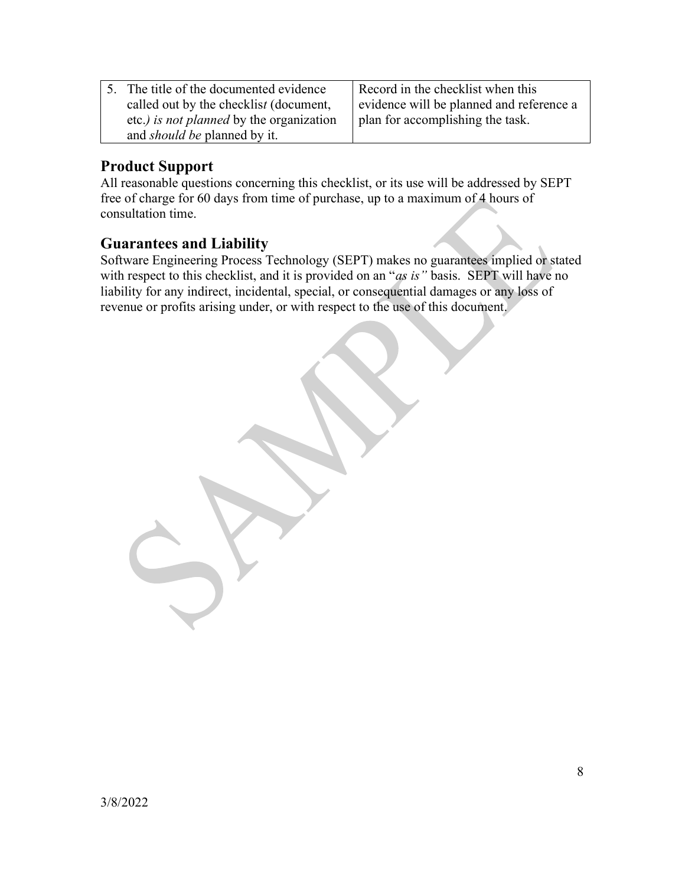| 5. The title of the documented evidence  | Record in the checklist when this        |
|------------------------------------------|------------------------------------------|
| called out by the checklist (document,   | evidence will be planned and reference a |
| etc.) is not planned by the organization | I plan for accomplishing the task.       |
| and <i>should be</i> planned by it.      |                                          |

#### Product Support

All reasonable questions concerning this checklist, or its use will be addressed by SEPT free of charge for 60 days from time of purchase, up to a maximum of 4 hours of consultation time.

#### Guarantees and Liability

Software Engineering Process Technology (SEPT) makes no guarantees implied or stated with respect to this checklist, and it is provided on an "as is" basis. SEPT will have no liability for any indirect, incidental, special, or consequential damages or any loss of revenue or profits arising under, or with respect to the use of this document.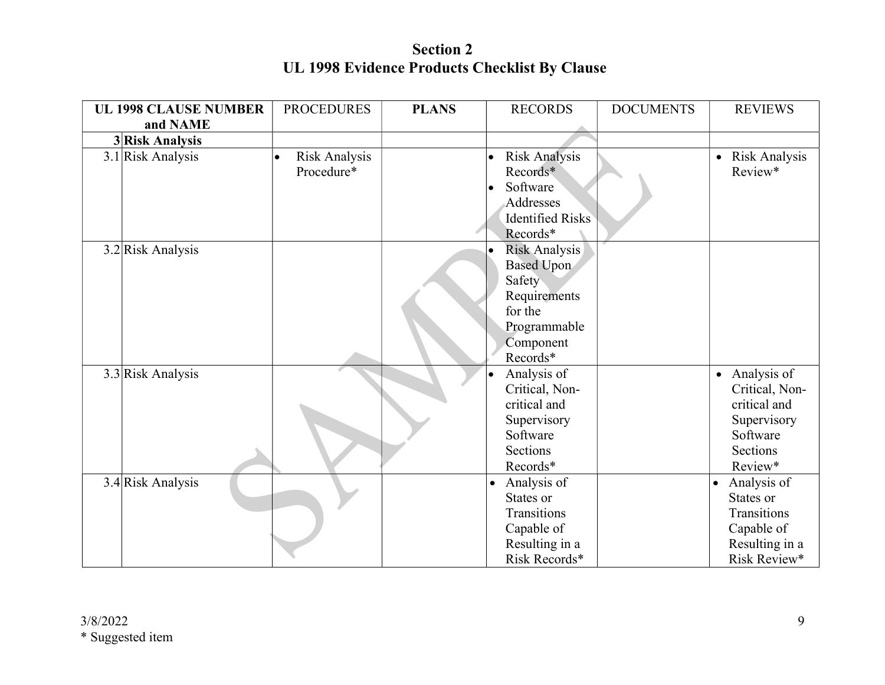Section 2 UL 1998 Evidence Products Checklist By Clause

| <b>UL 1998 CLAUSE NUMBER</b> | <b>PROCEDURES</b>          | <b>PLANS</b> | <b>RECORDS</b>           | <b>DOCUMENTS</b> | <b>REVIEWS</b>                    |
|------------------------------|----------------------------|--------------|--------------------------|------------------|-----------------------------------|
| and NAME                     |                            |              |                          |                  |                                   |
| 3 Risk Analysis              |                            |              |                          |                  |                                   |
| 3.1 Risk Analysis            | Risk Analysis<br>$\bullet$ |              | <b>Risk Analysis</b>     |                  | <b>Risk Analysis</b><br>$\bullet$ |
|                              | Procedure*                 |              | Records*                 |                  | Review*                           |
|                              |                            |              | Software                 |                  |                                   |
|                              |                            |              | Addresses                |                  |                                   |
|                              |                            |              | <b>Identified Risks</b>  |                  |                                   |
|                              |                            |              | Records*                 |                  |                                   |
| 3.2 Risk Analysis            |                            |              | Risk Analysis            |                  |                                   |
|                              |                            |              | <b>Based Upon</b>        |                  |                                   |
|                              |                            |              | Safety                   |                  |                                   |
|                              |                            |              | Requirements             |                  |                                   |
|                              |                            |              | for the                  |                  |                                   |
|                              |                            |              | Programmable             |                  |                                   |
|                              |                            |              | Component                |                  |                                   |
|                              |                            |              | Records*                 |                  |                                   |
|                              |                            |              |                          |                  | • Analysis of                     |
| $3.3$ Risk Analysis          |                            |              | Analysis of              |                  |                                   |
|                              |                            |              | Critical, Non-           |                  | Critical, Non-                    |
|                              |                            |              | critical and             |                  | critical and                      |
|                              |                            |              | Supervisory              |                  | Supervisory                       |
|                              |                            |              | Software                 |                  | Software                          |
|                              |                            |              | Sections                 |                  | Sections                          |
|                              |                            |              | Records*                 |                  | Review*                           |
| 3.4 Risk Analysis            |                            |              | Analysis of<br>$\bullet$ |                  | Analysis of<br>$\bullet$          |
|                              |                            |              | States or                |                  | States or                         |
|                              |                            |              | Transitions              |                  | Transitions                       |
|                              |                            |              | Capable of               |                  | Capable of                        |
|                              |                            |              | Resulting in a           |                  | Resulting in a                    |
|                              |                            |              | Risk Records*            |                  | Risk Review*                      |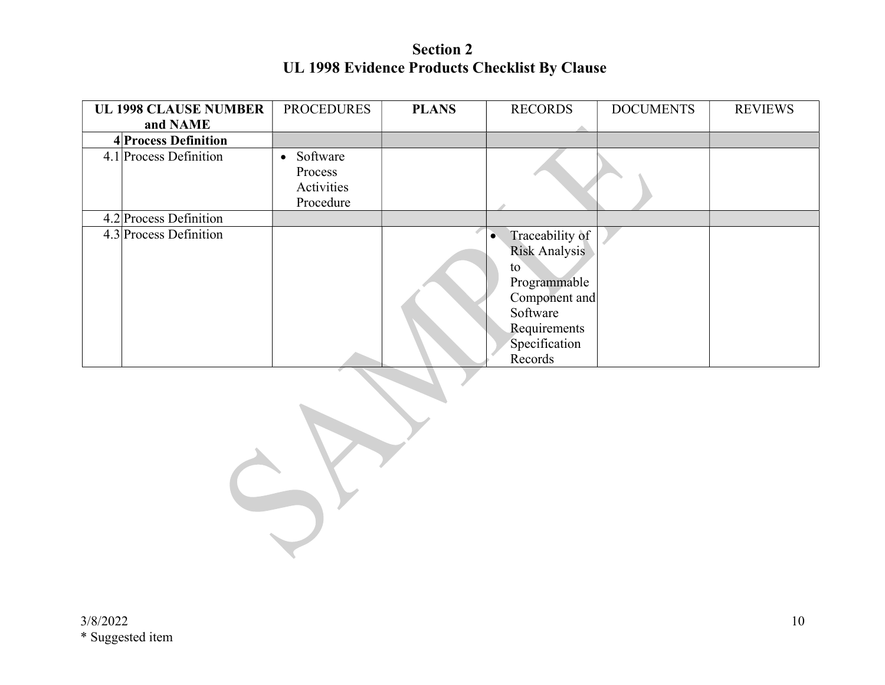Section 2 UL 1998 Evidence Products Checklist By Clause

| <b>UL 1998 CLAUSE NUMBER</b> | <b>PROCEDURES</b>     | <b>PLANS</b> | <b>RECORDS</b>       | <b>DOCUMENTS</b> | <b>REVIEWS</b> |
|------------------------------|-----------------------|--------------|----------------------|------------------|----------------|
| and NAME                     |                       |              |                      |                  |                |
| 4 Process Definition         |                       |              |                      |                  |                |
| 4.1 Process Definition       | Software<br>$\bullet$ |              |                      |                  |                |
|                              | Process               |              |                      |                  |                |
|                              | Activities            |              |                      |                  |                |
|                              | Procedure             |              |                      |                  |                |
| 4.2 Process Definition       |                       |              |                      |                  |                |
| 4.3 Process Definition       |                       |              | Traceability of      |                  |                |
|                              |                       |              | <b>Risk Analysis</b> |                  |                |
|                              |                       |              | to                   |                  |                |
|                              |                       |              | Programmable         |                  |                |
|                              |                       |              | Component and        |                  |                |
|                              |                       |              | Software             |                  |                |
|                              |                       |              | Requirements         |                  |                |
|                              |                       |              | Specification        |                  |                |
|                              |                       |              | Records              |                  |                |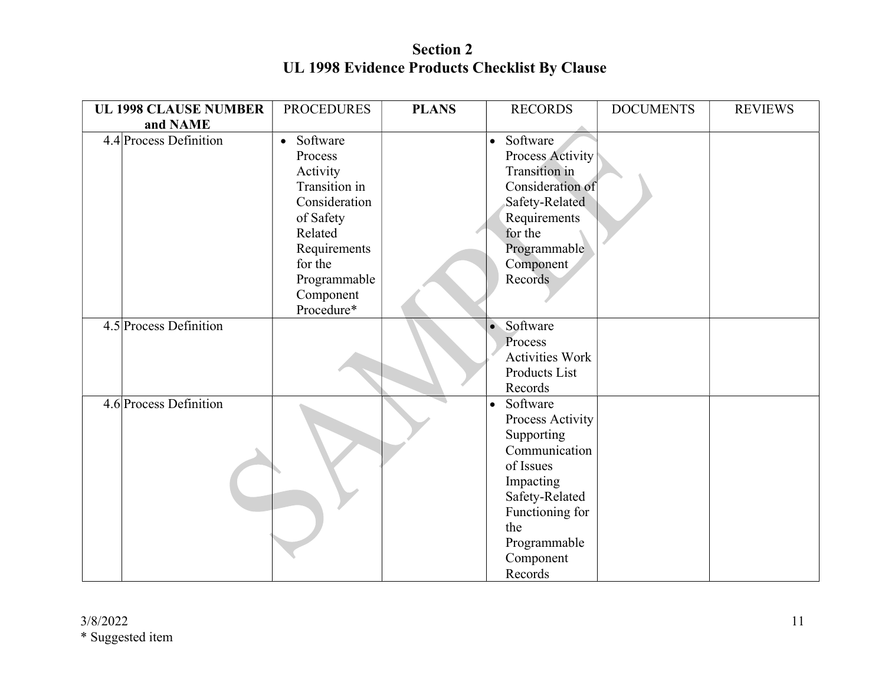Section 2 UL 1998 Evidence Products Checklist By Clause

| <b>UL 1998 CLAUSE NUMBER</b> | <b>PROCEDURES</b> | <b>PLANS</b> | <b>RECORDS</b>         | <b>DOCUMENTS</b> | <b>REVIEWS</b> |
|------------------------------|-------------------|--------------|------------------------|------------------|----------------|
| and NAME                     |                   |              |                        |                  |                |
| 4.4 Process Definition       | • Software        |              | Software<br>$\bullet$  |                  |                |
|                              | Process           |              | Process Activity       |                  |                |
|                              | Activity          |              | Transition in          |                  |                |
|                              | Transition in     |              | Consideration of       |                  |                |
|                              | Consideration     |              | Safety-Related         |                  |                |
|                              | of Safety         |              | Requirements           |                  |                |
|                              | Related           |              | for the                |                  |                |
|                              | Requirements      |              | Programmable           |                  |                |
|                              | for the           |              | Component              |                  |                |
|                              | Programmable      |              | Records                |                  |                |
|                              | Component         |              |                        |                  |                |
|                              | Procedure*        |              |                        |                  |                |
| 4.5 Process Definition       |                   |              | Software               |                  |                |
|                              |                   |              | Process                |                  |                |
|                              |                   |              | <b>Activities Work</b> |                  |                |
|                              |                   |              | Products List          |                  |                |
|                              |                   |              | Records                |                  |                |
| 4.6 Process Definition       |                   |              | Software               |                  |                |
|                              |                   |              | Process Activity       |                  |                |
|                              |                   |              | Supporting             |                  |                |
|                              |                   |              | Communication          |                  |                |
|                              |                   |              | of Issues              |                  |                |
|                              |                   |              | Impacting              |                  |                |
|                              |                   |              | Safety-Related         |                  |                |
|                              |                   |              | Functioning for        |                  |                |
|                              |                   |              | the                    |                  |                |
|                              |                   |              | Programmable           |                  |                |
|                              |                   |              | Component              |                  |                |
|                              |                   |              | Records                |                  |                |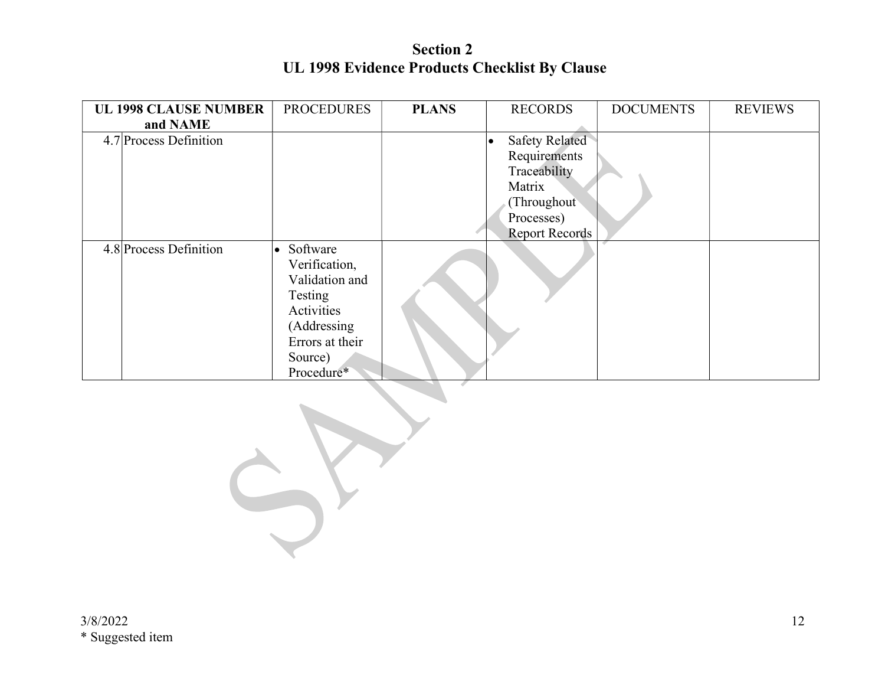Section 2 UL 1998 Evidence Products Checklist By Clause

| <b>UL 1998 CLAUSE NUMBER</b> | <b>PROCEDURES</b> | <b>PLANS</b> | <b>RECORDS</b>        | <b>DOCUMENTS</b> | <b>REVIEWS</b> |
|------------------------------|-------------------|--------------|-----------------------|------------------|----------------|
| and NAME                     |                   |              |                       |                  |                |
| 4.7 Process Definition       |                   |              | <b>Safety Related</b> |                  |                |
|                              |                   |              | Requirements          |                  |                |
|                              |                   |              | Traceability          |                  |                |
|                              |                   |              | Matrix                |                  |                |
|                              |                   |              | (Throughout)          |                  |                |
|                              |                   |              | Processes)            |                  |                |
|                              |                   |              | <b>Report Records</b> |                  |                |
| 4.8 Process Definition       | • Software        |              |                       |                  |                |
|                              | Verification,     |              |                       |                  |                |
|                              | Validation and    |              |                       |                  |                |
|                              | Testing           |              |                       |                  |                |
|                              | Activities        |              |                       |                  |                |
|                              | (Addressing       |              |                       |                  |                |
|                              | Errors at their   |              |                       |                  |                |
|                              | Source)           |              |                       |                  |                |
|                              | Procedure*        |              |                       |                  |                |